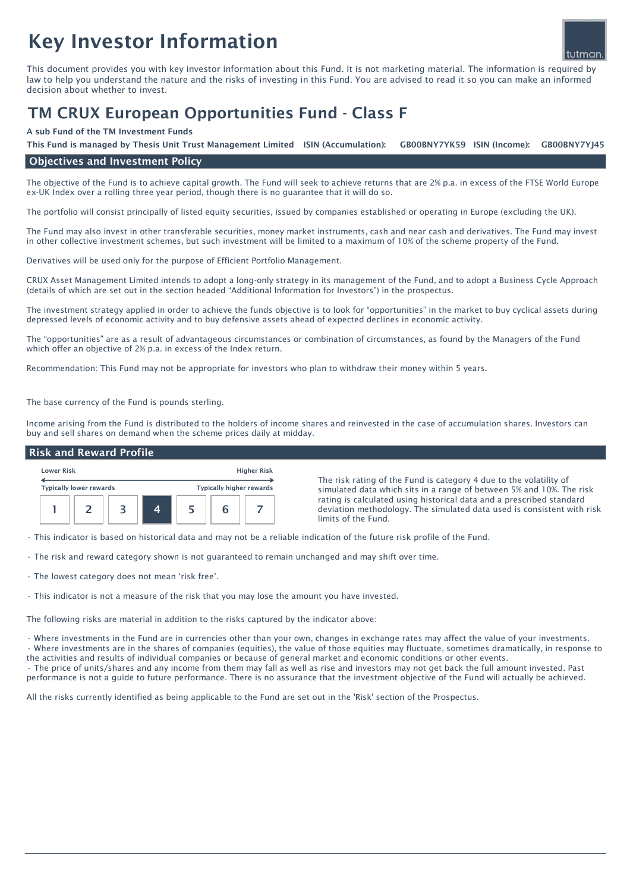# Key Investor Information



This document provides you with key investor information about this Fund. It is not marketing material. The information is required by law to help you understand the nature and the risks of investing in this Fund. You are advised to read it so you can make an informed decision about whether to invest.

## TM CRUX European Opportunities Fund - Class F

#### A sub Fund of the TM Investment Funds

GB00BNY7YK59 ISIN (Income): This Fund is managed by Thesis Unit Trust Management Limited ISIN (Accumulation): GB00BNY7YK59 ISIN (Income): GB00BNY7YJ45

### Objectives and Investment Policy

The objective of the Fund is to achieve capital growth. The Fund will seek to achieve returns that are 2% p.a. in excess of the FTSE World Europe ex-UK Index over a rolling three year period, though there is no guarantee that it will do so.

The portfolio will consist principally of listed equity securities, issued by companies established or operating in Europe (excluding the UK).

The Fund may also invest in other transferable securities, money market instruments, cash and near cash and derivatives. The Fund may invest in other collective investment schemes, but such investment will be limited to a maximum of 10% of the scheme property of the Fund.

Derivatives will be used only for the purpose of Efficient Portfolio Management.

CRUX Asset Management Limited intends to adopt a long-only strategy in its management of the Fund, and to adopt a Business Cycle Approach (details of which are set out in the section headed "Additional Information for Investors") in the prospectus.

The investment strategy applied in order to achieve the funds objective is to look for "opportunities" in the market to buy cyclical assets during depressed levels of economic activity and to buy defensive assets ahead of expected declines in economic activity.

The "opportunities" are as a result of advantageous circumstances or combination of circumstances, as found by the Managers of the Fund which offer an objective of 2% p.a. in excess of the Index return.

Recommendation: This Fund may not be appropriate for investors who plan to withdraw their money within 5 years.

The base currency of the Fund is pounds sterling.

Income arising from the Fund is distributed to the holders of income shares and reinvested in the case of accumulation shares. Investors can buy and sell shares on demand when the scheme prices daily at midday.

### Risk and Reward Profile

| <b>Lower Risk</b> |                                |  |  | <b>Higher Risk</b> |  |                                 |
|-------------------|--------------------------------|--|--|--------------------|--|---------------------------------|
|                   | <b>Typically lower rewards</b> |  |  |                    |  | <b>Typically higher rewards</b> |
|                   |                                |  |  |                    |  |                                 |

The risk rating of the Fund is category 4 due to the volatility of simulated data which sits in a range of between 5% and 10%. The risk rating is calculated using historical data and a prescribed standard deviation methodology. The simulated data used is consistent with risk limits of the Fund.

• This indicator is based on historical data and may not be a reliable indication of the future risk profile of the Fund.

• The risk and reward category shown is not guaranteed to remain unchanged and may shift over time.

- The lowest category does not mean 'risk free'.
- This indicator is not a measure of the risk that you may lose the amount you have invested.

The following risks are material in addition to the risks captured by the indicator above:

• Where investments in the Fund are in currencies other than your own, changes in exchange rates may affect the value of your investments. • Where investments are in the shares of companies (equities), the value of those equities may fluctuate, sometimes dramatically, in response to the activities and results of individual companies or because of general market and economic conditions or other events.

• The price of units/shares and any income from them may fall as well as rise and investors may not get back the full amount invested. Past performance is not a guide to future performance. There is no assurance that the investment objective of the Fund will actually be achieved.

All the risks currently identified as being applicable to the Fund are set out in the 'Risk' section of the Prospectus.